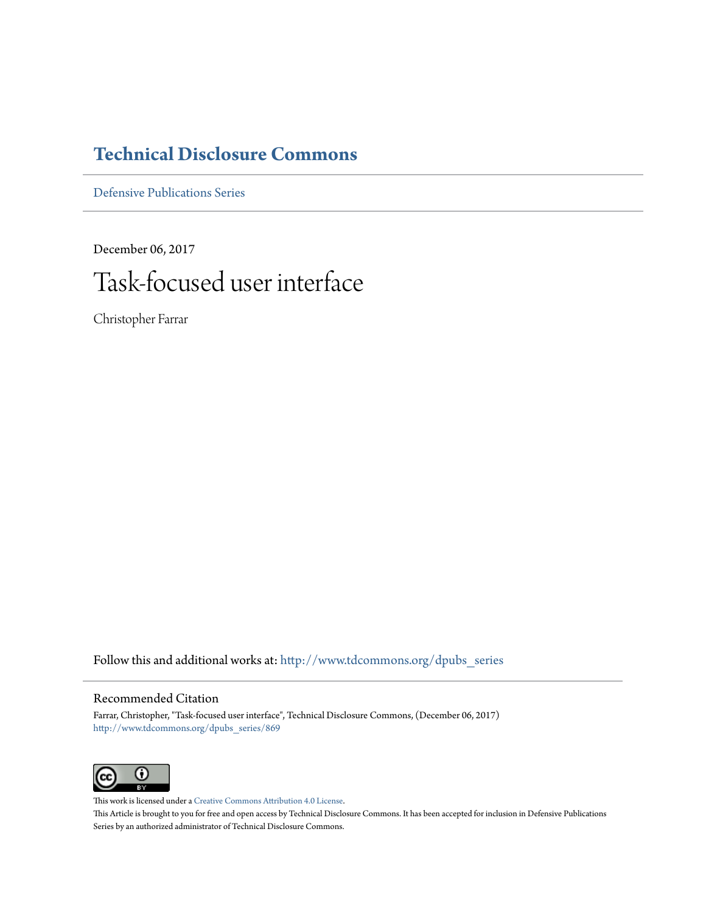# **[Technical Disclosure Commons](http://www.tdcommons.org?utm_source=www.tdcommons.org%2Fdpubs_series%2F869&utm_medium=PDF&utm_campaign=PDFCoverPages)**

[Defensive Publications Series](http://www.tdcommons.org/dpubs_series?utm_source=www.tdcommons.org%2Fdpubs_series%2F869&utm_medium=PDF&utm_campaign=PDFCoverPages)

December 06, 2017

# Task-focused user interface

Christopher Farrar

Follow this and additional works at: [http://www.tdcommons.org/dpubs\\_series](http://www.tdcommons.org/dpubs_series?utm_source=www.tdcommons.org%2Fdpubs_series%2F869&utm_medium=PDF&utm_campaign=PDFCoverPages)

# Recommended Citation

Farrar, Christopher, "Task-focused user interface", Technical Disclosure Commons, (December 06, 2017) [http://www.tdcommons.org/dpubs\\_series/869](http://www.tdcommons.org/dpubs_series/869?utm_source=www.tdcommons.org%2Fdpubs_series%2F869&utm_medium=PDF&utm_campaign=PDFCoverPages)



This work is licensed under a [Creative Commons Attribution 4.0 License.](http://creativecommons.org/licenses/by/4.0/deed.en_US) This Article is brought to you for free and open access by Technical Disclosure Commons. It has been accepted for inclusion in Defensive Publications Series by an authorized administrator of Technical Disclosure Commons.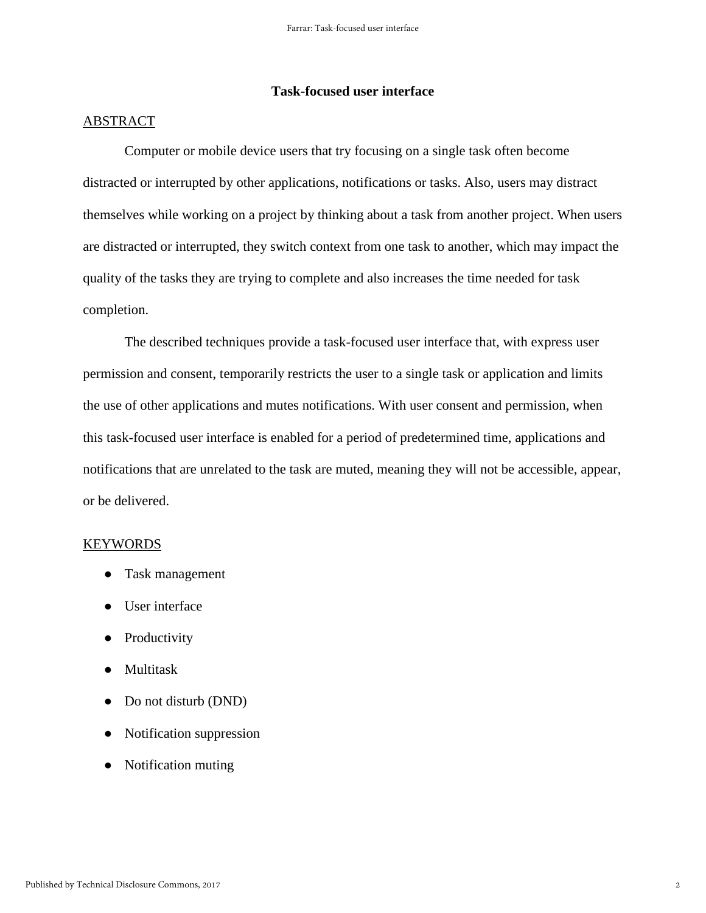# **Task-focused user interface**

## ABSTRACT

Computer or mobile device users that try focusing on a single task often become distracted or interrupted by other applications, notifications or tasks. Also, users may distract themselves while working on a project by thinking about a task from another project. When users are distracted or interrupted, they switch context from one task to another, which may impact the quality of the tasks they are trying to complete and also increases the time needed for task completion.

The described techniques provide a task-focused user interface that, with express user permission and consent, temporarily restricts the user to a single task or application and limits the use of other applications and mutes notifications. With user consent and permission, when this task-focused user interface is enabled for a period of predetermined time, applications and notifications that are unrelated to the task are muted, meaning they will not be accessible, appear, or be delivered.

### KEYWORDS

- Task management
- User interface
- Productivity
- Multitask
- Do not disturb (DND)
- Notification suppression
- Notification muting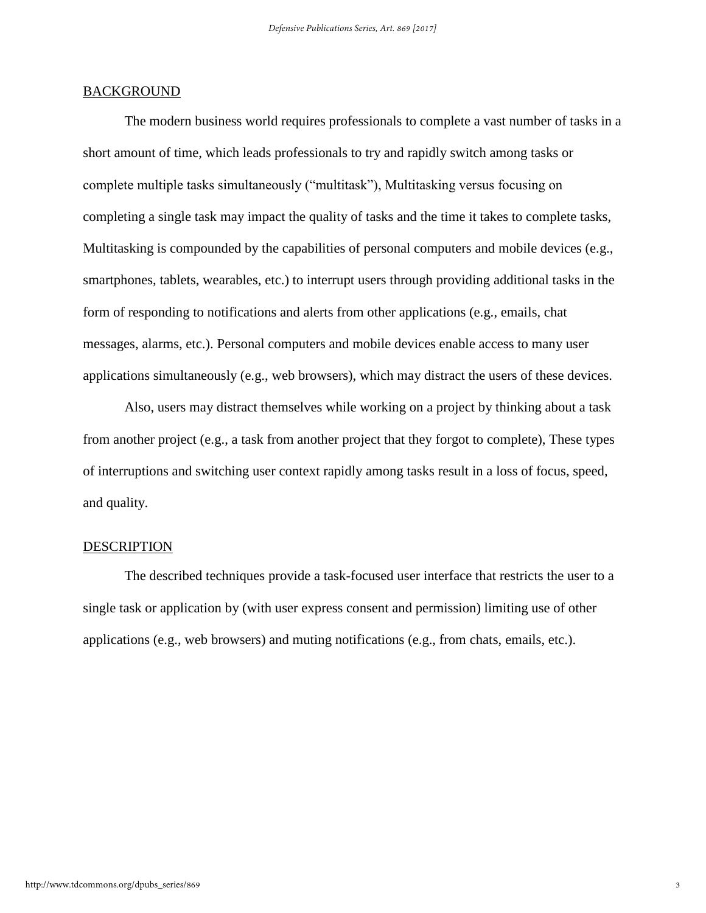### BACKGROUND

The modern business world requires professionals to complete a vast number of tasks in a short amount of time, which leads professionals to try and rapidly switch among tasks or complete multiple tasks simultaneously ("multitask"), Multitasking versus focusing on completing a single task may impact the quality of tasks and the time it takes to complete tasks, Multitasking is compounded by the capabilities of personal computers and mobile devices (e.g., smartphones, tablets, wearables, etc.) to interrupt users through providing additional tasks in the form of responding to notifications and alerts from other applications (e.g., emails, chat messages, alarms, etc.). Personal computers and mobile devices enable access to many user applications simultaneously (e.g., web browsers), which may distract the users of these devices.

Also, users may distract themselves while working on a project by thinking about a task from another project (e.g., a task from another project that they forgot to complete), These types of interruptions and switching user context rapidly among tasks result in a loss of focus, speed, and quality.

### DESCRIPTION

The described techniques provide a task-focused user interface that restricts the user to a single task or application by (with user express consent and permission) limiting use of other applications (e.g., web browsers) and muting notifications (e.g., from chats, emails, etc.).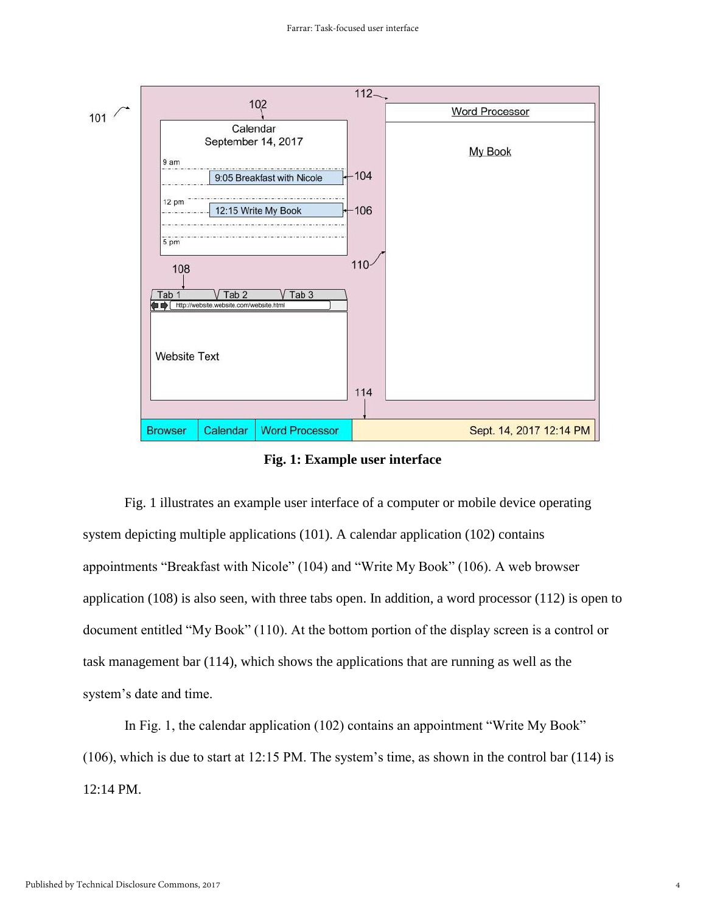

**Fig. 1: Example user interface**

Fig. 1 illustrates an example user interface of a computer or mobile device operating system depicting multiple applications (101). A calendar application (102) contains appointments "Breakfast with Nicole" (104) and "Write My Book" (106). A web browser application (108) is also seen, with three tabs open. In addition, a word processor (112) is open to document entitled "My Book" (110). At the bottom portion of the display screen is a control or task management bar (114), which shows the applications that are running as well as the system's date and time.

In Fig. 1, the calendar application (102) contains an appointment "Write My Book" (106), which is due to start at 12:15 PM. The system's time, as shown in the control bar (114) is 12:14 PM.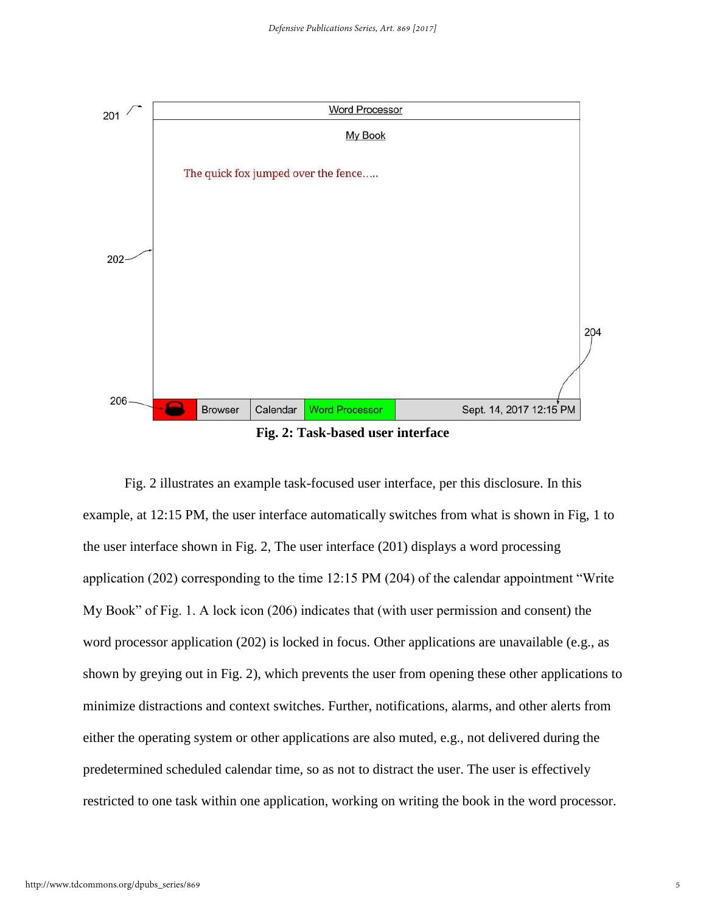

**Fig. 2: Task-based user interface**

Fig. 2 illustrates an example task-focused user interface, per this disclosure. In this example, at 12:15 PM, the user interface automatically switches from what is shown in Fig, 1 to the user interface shown in Fig. 2, The user interface (201) displays a word processing application (202) corresponding to the time 12:15 PM (204) of the calendar appointment "Write My Book" of Fig. 1. A lock icon (206) indicates that (with user permission and consent) the word processor application (202) is locked in focus. Other applications are unavailable (e.g., as shown by greying out in Fig. 2), which prevents the user from opening these other applications to minimize distractions and context switches. Further, notifications, alarms, and other alerts from either the operating system or other applications are also muted, e.g., not delivered during the predetermined scheduled calendar time, so as not to distract the user. The user is effectively restricted to one task within one application, working on writing the book in the word processor.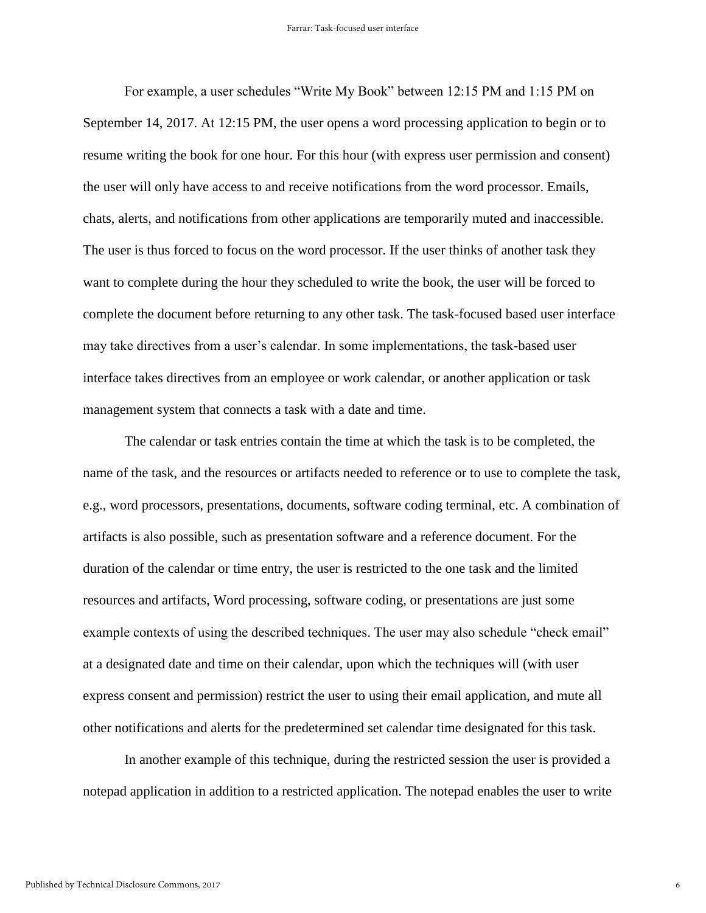For example, a user schedules "Write My Book" between 12:15 PM and 1:15 PM on September 14, 2017. At 12:15 PM, the user opens a word processing application to begin or to resume writing the book for one hour. For this hour (with express user permission and consent) the user will only have access to and receive notifications from the word processor. Emails, chats, alerts, and notifications from other applications are temporarily muted and inaccessible. The user is thus forced to focus on the word processor. If the user thinks of another task they want to complete during the hour they scheduled to write the book, the user will be forced to complete the document before returning to any other task. The task-focused based user interface may take directives from a user's calendar. In some implementations, the task-based user interface takes directives from an employee or work calendar, or another application or task management system that connects a task with a date and time.

The calendar or task entries contain the time at which the task is to be completed, the name of the task, and the resources or artifacts needed to reference or to use to complete the task, e.g., word processors, presentations, documents, software coding terminal, etc. A combination of artifacts is also possible, such as presentation software and a reference document. For the duration of the calendar or time entry, the user is restricted to the one task and the limited resources and artifacts, Word processing, software coding, or presentations are just some example contexts of using the described techniques. The user may also schedule "check email" at a designated date and time on their calendar, upon which the techniques will (with user express consent and permission) restrict the user to using their email application, and mute all other notifications and alerts for the predetermined set calendar time designated for this task.

In another example of this technique, during the restricted session the user is provided a notepad application in addition to a restricted application. The notepad enables the user to write

6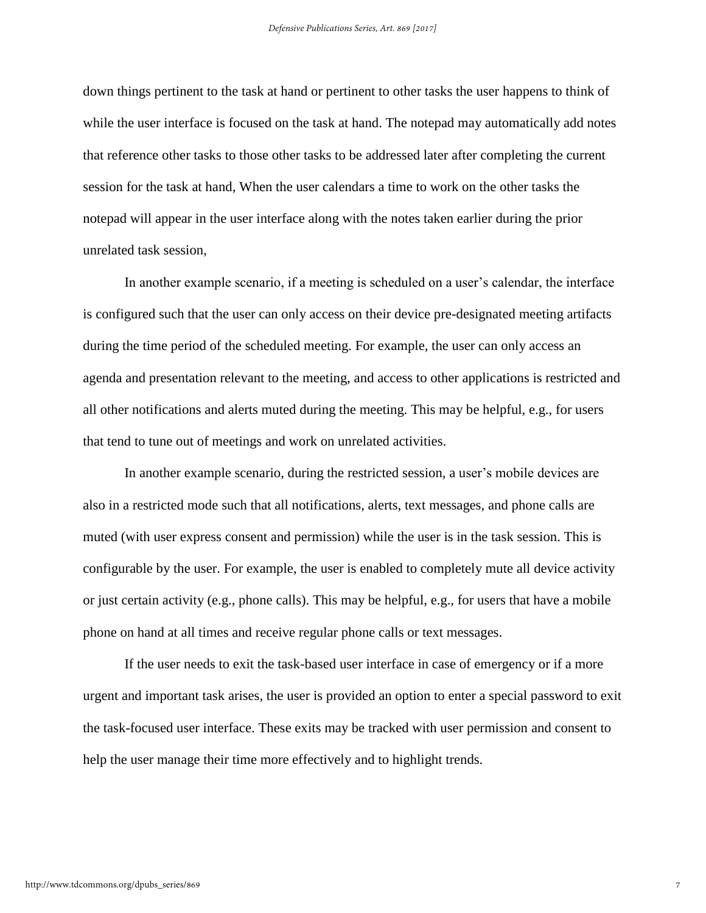down things pertinent to the task at hand or pertinent to other tasks the user happens to think of while the user interface is focused on the task at hand. The notepad may automatically add notes that reference other tasks to those other tasks to be addressed later after completing the current session for the task at hand, When the user calendars a time to work on the other tasks the notepad will appear in the user interface along with the notes taken earlier during the prior unrelated task session,

In another example scenario, if a meeting is scheduled on a user's calendar, the interface is configured such that the user can only access on their device pre-designated meeting artifacts during the time period of the scheduled meeting. For example, the user can only access an agenda and presentation relevant to the meeting, and access to other applications is restricted and all other notifications and alerts muted during the meeting. This may be helpful, e.g., for users that tend to tune out of meetings and work on unrelated activities.

In another example scenario, during the restricted session, a user's mobile devices are also in a restricted mode such that all notifications, alerts, text messages, and phone calls are muted (with user express consent and permission) while the user is in the task session. This is configurable by the user. For example, the user is enabled to completely mute all device activity or just certain activity (e.g., phone calls). This may be helpful, e.g., for users that have a mobile phone on hand at all times and receive regular phone calls or text messages.

If the user needs to exit the task-based user interface in case of emergency or if a more urgent and important task arises, the user is provided an option to enter a special password to exit the task-focused user interface. These exits may be tracked with user permission and consent to help the user manage their time more effectively and to highlight trends.

7